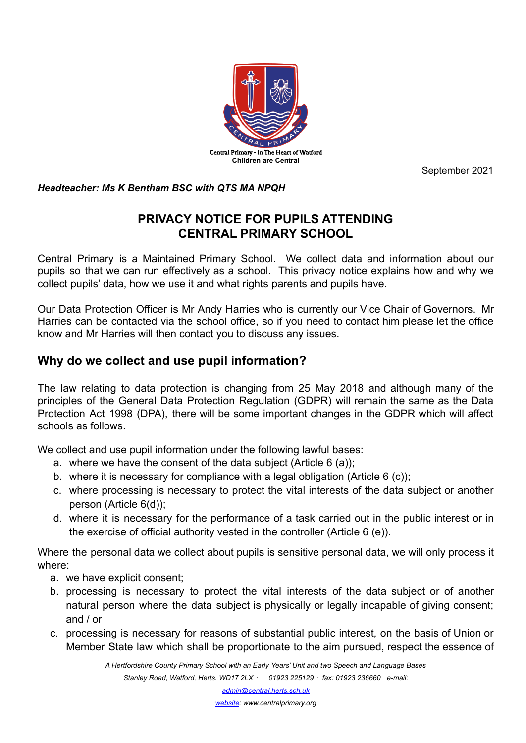

September 2021

*Headteacher: Ms K Bentham BSC with QTS MA NPQH*

# **PRIVACY NOTICE FOR PUPILS ATTENDING CENTRAL PRIMARY SCHOOL**

Central Primary is a Maintained Primary School. We collect data and information about our pupils so that we can run effectively as a school. This privacy notice explains how and why we collect pupils' data, how we use it and what rights parents and pupils have.

Our Data Protection Officer is Mr Andy Harries who is currently our Vice Chair of Governors. Mr Harries can be contacted via the school office, so if you need to contact him please let the office know and Mr Harries will then contact you to discuss any issues.

# **Why do we collect and use pupil information?**

The law relating to data protection is changing from 25 May 2018 and although many of the principles of the General Data Protection Regulation (GDPR) will remain the same as the Data Protection Act 1998 (DPA), there will be some important changes in the GDPR which will affect schools as follows.

We collect and use pupil information under the following lawful bases:

- a. where we have the consent of the data subject (Article 6 (a));
- b. where it is necessary for compliance with a legal obligation (Article 6 (c));
- c. where processing is necessary to protect the vital interests of the data subject or another person (Article 6(d));
- d. where it is necessary for the performance of a task carried out in the public interest or in the exercise of official authority vested in the controller (Article 6 (e)).

Where the personal data we collect about pupils is sensitive personal data, we will only process it where:

- a. we have explicit consent;
- b. processing is necessary to protect the vital interests of the data subject or of another natural person where the data subject is physically or legally incapable of giving consent; and / or
- c. processing is necessary for reasons of substantial public interest, on the basis of Union or Member State law which shall be proportionate to the aim pursued, respect the essence of

*A Hertfordshire County Primary School with an Early Years' Unit and two Speech and Language Bases Stanley Road, Watford, Herts. WD17 2LX* **.** *01923 225129* **.** *fax: 01923 236660 e-mail:*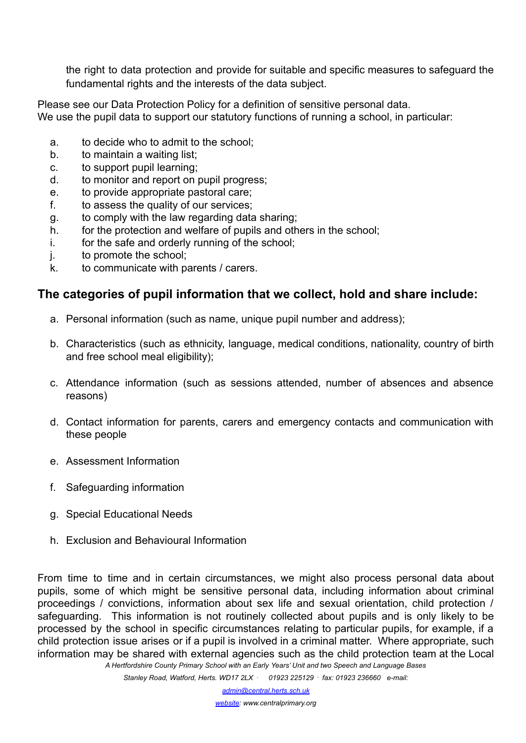the right to data protection and provide for suitable and specific measures to safeguard the fundamental rights and the interests of the data subject.

Please see our Data Protection Policy for a definition of sensitive personal data. We use the pupil data to support our statutory functions of running a school, in particular:

- a. to decide who to admit to the school;
- b. to maintain a waiting list;
- c. to support pupil learning;
- d. to monitor and report on pupil progress;
- e. to provide appropriate pastoral care;
- f. to assess the quality of our services;
- g. to comply with the law regarding data sharing;
- h. for the protection and welfare of pupils and others in the school;
- i. for the safe and orderly running of the school;
- j. to promote the school;
- k. to communicate with parents / carers.

## **The categories of pupil information that we collect, hold and share include:**

- a. Personal information (such as name, unique pupil number and address);
- b. Characteristics (such as ethnicity, language, medical conditions, nationality, country of birth and free school meal eligibility);
- c. Attendance information (such as sessions attended, number of absences and absence reasons)
- d. Contact information for parents, carers and emergency contacts and communication with these people
- e. Assessment Information
- f. Safeguarding information
- g. Special Educational Needs
- h. Exclusion and Behavioural Information

From time to time and in certain circumstances, we might also process personal data about pupils, some of which might be sensitive personal data, including information about criminal proceedings / convictions, information about sex life and sexual orientation, child protection / safeguarding. This information is not routinely collected about pupils and is only likely to be processed by the school in specific circumstances relating to particular pupils, for example, if a child protection issue arises or if a pupil is involved in a criminal matter. Where appropriate, such information may be shared with external agencies such as the child protection team at the Local *A Hertfordshire County Primary School with an Early Years' Unit and two Speech and Language Bases*

*Stanley Road, Watford, Herts. WD17 2LX* **.** *01923 225129* **.** *fax: 01923 236660 e-mail:*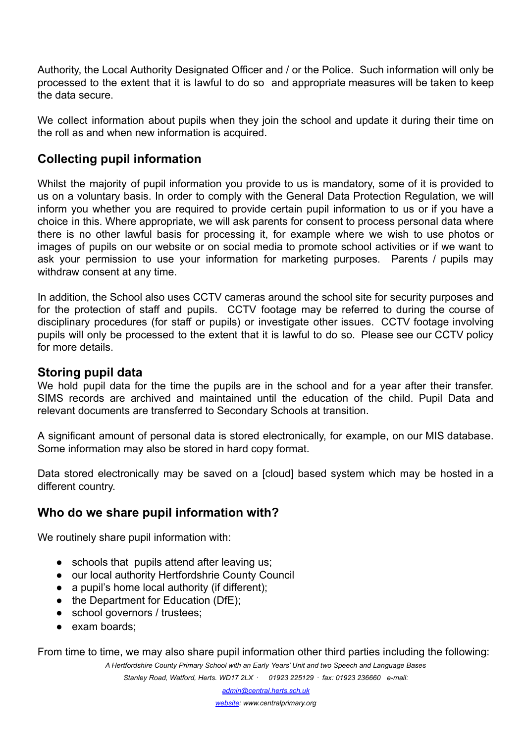Authority, the Local Authority Designated Officer and / or the Police. Such information will only be processed to the extent that it is lawful to do so and appropriate measures will be taken to keep the data secure.

We collect information about pupils when they join the school and update it during their time on the roll as and when new information is acquired.

## **Collecting pupil information**

Whilst the majority of pupil information you provide to us is mandatory, some of it is provided to us on a voluntary basis. In order to comply with the General Data Protection Regulation, we will inform you whether you are required to provide certain pupil information to us or if you have a choice in this. Where appropriate, we will ask parents for consent to process personal data where there is no other lawful basis for processing it, for example where we wish to use photos or images of pupils on our website or on social media to promote school activities or if we want to ask your permission to use your information for marketing purposes. Parents / pupils may withdraw consent at any time.

In addition, the School also uses CCTV cameras around the school site for security purposes and for the protection of staff and pupils. CCTV footage may be referred to during the course of disciplinary procedures (for staff or pupils) or investigate other issues. CCTV footage involving pupils will only be processed to the extent that it is lawful to do so. Please see our CCTV policy for more details.

### **Storing pupil data**

We hold pupil data for the time the pupils are in the school and for a year after their transfer. SIMS records are archived and maintained until the education of the child. Pupil Data and relevant documents are transferred to Secondary Schools at transition.

A significant amount of personal data is stored electronically, for example, on our MIS database. Some information may also be stored in hard copy format.

Data stored electronically may be saved on a [cloud] based system which may be hosted in a different country.

## **Who do we share pupil information with?**

We routinely share pupil information with:

- schools that pupils attend after leaving us;
- our local authority Hertfordshrie County Council
- $\bullet$  a pupil's home local authority (if different);
- the Department for Education (DfE);
- school governors / trustees;
- exam boards;

From time to time, we may also share pupil information other third parties including the following:

*A Hertfordshire County Primary School with an Early Years' Unit and two Speech and Language Bases Stanley Road, Watford, Herts. WD17 2LX* **.** *01923 225129* **.** *fax: 01923 236660 e-mail:*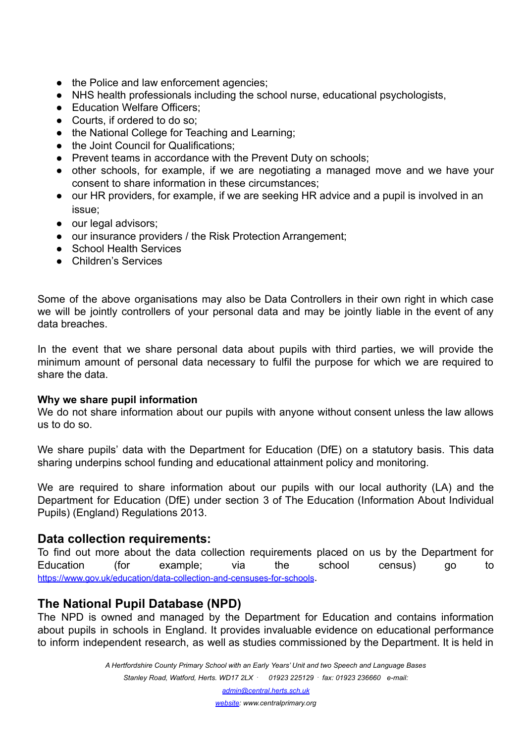- the Police and law enforcement agencies;
- NHS health professionals including the school nurse, educational psychologists,
- Education Welfare Officers:
- Courts, if ordered to do so;
- the National College for Teaching and Learning:
- the Joint Council for Qualifications;
- Prevent teams in accordance with the Prevent Duty on schools;
- other schools, for example, if we are negotiating a managed move and we have your consent to share information in these circumstances;
- our HR providers, for example, if we are seeking HR advice and a pupil is involved in an issue;
- our legal advisors;
- our insurance providers / the Risk Protection Arrangement;
- School Health Services
- Children's Services

Some of the above organisations may also be Data Controllers in their own right in which case we will be jointly controllers of your personal data and may be jointly liable in the event of any data breaches.

In the event that we share personal data about pupils with third parties, we will provide the minimum amount of personal data necessary to fulfil the purpose for which we are required to share the data.

#### **Why we share pupil information**

We do not share information about our pupils with anyone without consent unless the law allows us to do so.

We share pupils' data with the Department for Education (DfE) on a statutory basis. This data sharing underpins school funding and educational attainment policy and monitoring.

We are required to share information about our pupils with our local authority (LA) and the Department for Education (DfE) under section 3 of The Education (Information About Individual Pupils) (England) Regulations 2013.

### **Data collection requirements:**

To find out more about the data collection requirements placed on us by the Department for Education (for example; via the school census) go to <https://www.gov.uk/education/data-collection-and-censuses-for-schools>.

## **The National Pupil Database (NPD)**

The NPD is owned and managed by the Department for Education and contains information about pupils in schools in England. It provides invaluable evidence on educational performance to inform independent research, as well as studies commissioned by the Department. It is held in

> *A Hertfordshire County Primary School with an Early Years' Unit and two Speech and Language Bases Stanley Road, Watford, Herts. WD17 2LX* **.** *01923 225129* **.** *fax: 01923 236660 e-mail:*

> > *admin@central.herts.sch.uk*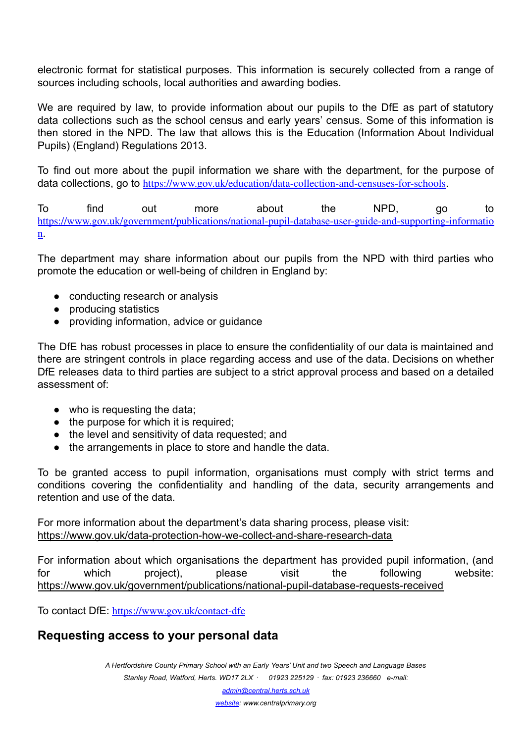electronic format for statistical purposes. This information is securely collected from a range of sources including schools, local authorities and awarding bodies.

We are required by law, to provide information about our pupils to the DfE as part of statutory data collections such as the school census and early years' census. Some of this information is then stored in the NPD. The law that allows this is the Education (Information About Individual Pupils) (England) Regulations 2013.

To find out more about the pupil information we share with the department, for the purpose of data collections, go to <https://www.gov.uk/education/data-collection-and-censuses-for-schools>.

To find out more about the NPD, go to [https://www.gov.uk/government/publications/national-pupil-database-user-guide-and-supporting-informatio](https://www.gov.uk/government/publications/national-pupil-database-user-guide-and-supporting-information) [n](https://www.gov.uk/government/publications/national-pupil-database-user-guide-and-supporting-information).

The department may share information about our pupils from the NPD with third parties who promote the education or well-being of children in England by:

- conducting research or analysis
- producing statistics
- providing information, advice or guidance

The DfE has robust processes in place to ensure the confidentiality of our data is maintained and there are stringent controls in place regarding access and use of the data. Decisions on whether DfE releases data to third parties are subject to a strict approval process and based on a detailed assessment of:

- who is requesting the data;
- the purpose for which it is required;
- the level and sensitivity of data requested; and
- the arrangements in place to store and handle the data.

To be granted access to pupil information, organisations must comply with strict terms and conditions covering the confidentiality and handling of the data, security arrangements and retention and use of the data.

For more information about the department's data sharing process, please visit: <https://www.gov.uk/data-protection-how-we-collect-and-share-research-data>

For information about which organisations the department has provided pupil information, (and for which project), please visit the following website: <https://www.gov.uk/government/publications/national-pupil-database-requests-received>

To contact DfE: <https://www.gov.uk/contact-dfe>

# **Requesting access to your personal data**

*A Hertfordshire County Primary School with an Early Years' Unit and two Speech and Language Bases Stanley Road, Watford, Herts. WD17 2LX* **.** *01923 225129* **.** *fax: 01923 236660 e-mail:*

*admin@central.herts.sch.uk*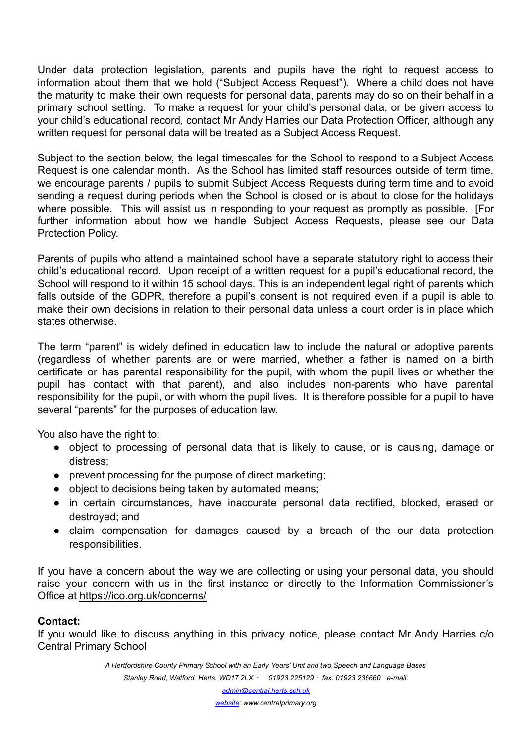Under data protection legislation, parents and pupils have the right to request access to information about them that we hold ("Subject Access Request"). Where a child does not have the maturity to make their own requests for personal data, parents may do so on their behalf in a primary school setting. To make a request for your child's personal data, or be given access to your child's educational record, contact Mr Andy Harries our Data Protection Officer, although any written request for personal data will be treated as a Subject Access Request.

Subject to the section below, the legal timescales for the School to respond to a Subject Access Request is one calendar month. As the School has limited staff resources outside of term time, we encourage parents / pupils to submit Subject Access Requests during term time and to avoid sending a request during periods when the School is closed or is about to close for the holidays where possible. This will assist us in responding to your request as promptly as possible. [For further information about how we handle Subject Access Requests, please see our Data Protection Policy.

Parents of pupils who attend a maintained school have a separate statutory right to access their child's educational record. Upon receipt of a written request for a pupil's educational record, the School will respond to it within 15 school days. This is an independent legal right of parents which falls outside of the GDPR, therefore a pupil's consent is not required even if a pupil is able to make their own decisions in relation to their personal data unless a court order is in place which states otherwise.

The term "parent" is widely defined in education law to include the natural or adoptive parents (regardless of whether parents are or were married, whether a father is named on a birth certificate or has parental responsibility for the pupil, with whom the pupil lives or whether the pupil has contact with that parent), and also includes non-parents who have parental responsibility for the pupil, or with whom the pupil lives. It is therefore possible for a pupil to have several "parents" for the purposes of education law.

You also have the right to:

- object to processing of personal data that is likely to cause, or is causing, damage or distress;
- prevent processing for the purpose of direct marketing;
- object to decisions being taken by automated means;
- in certain circumstances, have inaccurate personal data rectified, blocked, erased or destroyed; and
- claim compensation for damages caused by a breach of the our data protection responsibilities.

If you have a concern about the way we are collecting or using your personal data, you should raise your concern with us in the first instance or directly to the Information Commissioner's Office at <https://ico.org.uk/concerns/>

### **Contact:**

If you would like to discuss anything in this privacy notice, please contact Mr Andy Harries c/o Central Primary School

> *A Hertfordshire County Primary School with an Early Years' Unit and two Speech and Language Bases Stanley Road, Watford, Herts. WD17 2LX* **.** *01923 225129* **.** *fax: 01923 236660 e-mail:*

> > *admin@central.herts.sch.uk*